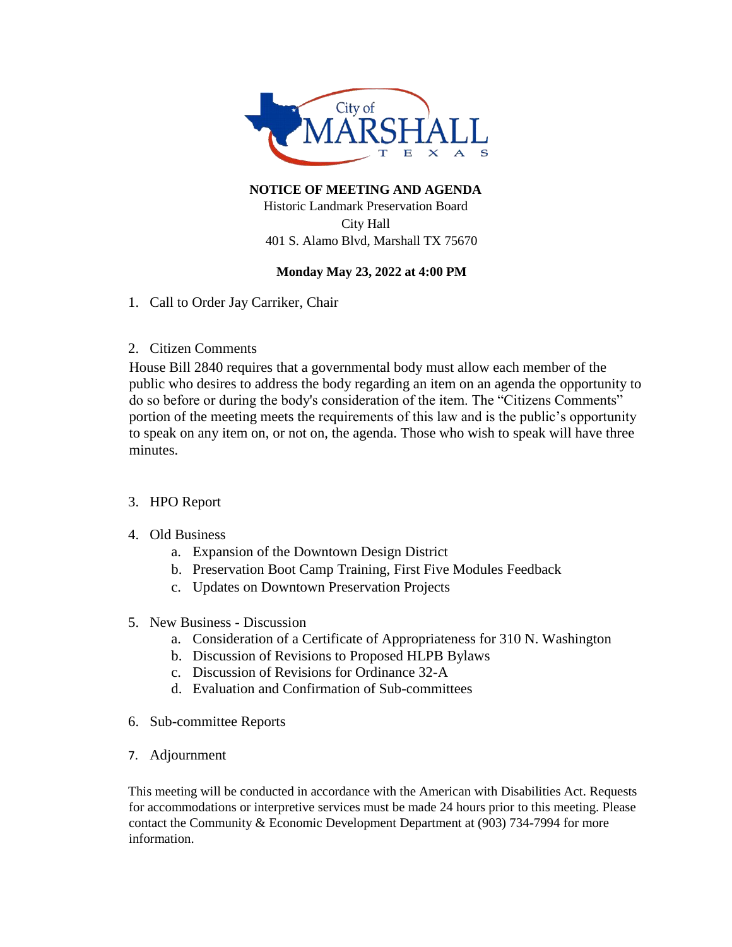

**NOTICE OF MEETING AND AGENDA**  Historic Landmark Preservation Board City Hall 401 S. Alamo Blvd, Marshall TX 75670

## **Monday May 23, 2022 at 4:00 PM**

- 1. Call to Order Jay Carriker, Chair
- 2. Citizen Comments

House Bill 2840 requires that a governmental body must allow each member of the public who desires to address the body regarding an item on an agenda the opportunity to do so before or during the body's consideration of the item. The "Citizens Comments" portion of the meeting meets the requirements of this law and is the public's opportunity to speak on any item on, or not on, the agenda. Those who wish to speak will have three minutes.

# 3. HPO Report

## 4. Old Business

- a. Expansion of the Downtown Design District
- b. Preservation Boot Camp Training, First Five Modules Feedback
- c. Updates on Downtown Preservation Projects

## 5. New Business - Discussion

- a. Consideration of a Certificate of Appropriateness for 310 N. Washington
- b. Discussion of Revisions to Proposed HLPB Bylaws
- c. Discussion of Revisions for Ordinance 32-A
- d. Evaluation and Confirmation of Sub-committees
- 6. Sub-committee Reports
- 7. Adjournment

This meeting will be conducted in accordance with the American with Disabilities Act. Requests for accommodations or interpretive services must be made 24 hours prior to this meeting. Please contact the Community & Economic Development Department at (903) 734-7994 for more information.